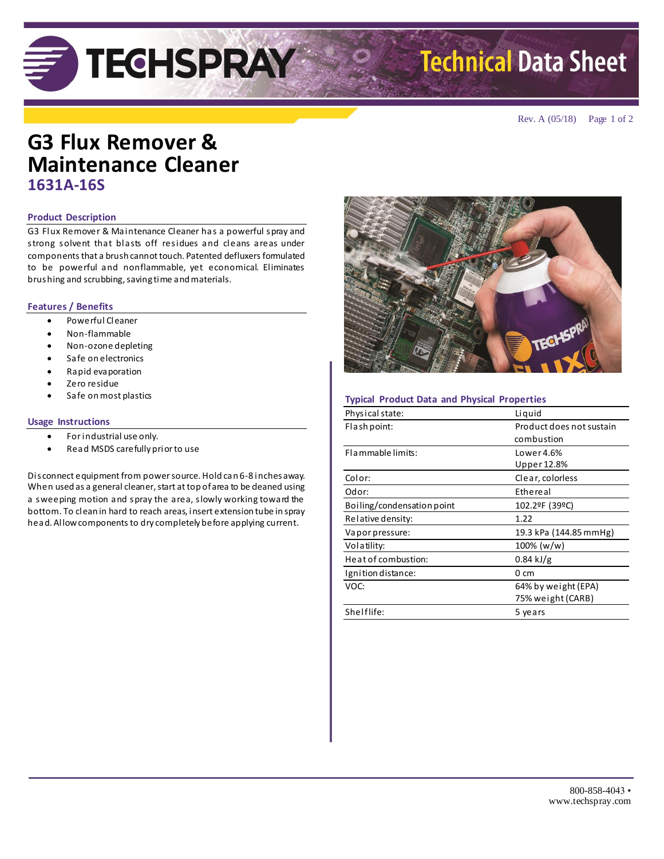

# **Technical Data Sheet**

### **G3 Flux Remover & Maintenance Cleaner 1631A-16S**

#### **Product Description**

G3 Flux Remover & Maintenance Cleaner has a powerful spray and strong solvent that blasts off residues and cleans areas under components that a brush cannot touch. Patented defluxers formulated to be powerful and nonflammable, yet economical. Eliminates brushing and scrubbing, saving time and materials.

### **Features / Benefits**

- Powerful Cleaner
- Non-flammable
- Non-ozone depleting
- Safe on electronics
- Rapid evaporation
- Zero residue
- Safe on most plastics

### **Usage Instructions**

- For industrial use only.
- Read MSDS carefully prior to use

Disconnect equipment from power source. Hold can 6-8 inches away. When used as a general cleaner, start at top of area to be deaned using a sweeping motion and spray the area, slowly working toward the bottom. To clean in hard to reach areas, insert extension tube in spray head. Allow components to dry completely before applying current.



### **Typical Product Data and Physical Properties**

| Physical state:            | Liquid                   |
|----------------------------|--------------------------|
| Flash point:               | Product does not sustain |
|                            | combustion               |
| Flammable limits:          | Lower 4.6%               |
|                            | Upper 12.8%              |
| Color:                     | Clear, colorless         |
| Odor:                      | Ethereal                 |
| Boiling/condensation point | 102.2ºF (39ºC)           |
| Relative density:          | 1.22                     |
| Vapor pressure:            | 19.3 kPa (144.85 mmHg)   |
| Volatility:                | $100\%$ (w/w)            |
| Heat of combustion:        | $0.84$ kJ/g              |
| Ignition distance:         | 0 cm                     |
| VOC:                       | 64% by weight (EPA)      |
|                            | 75% weight (CARB)        |
| Shelflife:                 | 5 years                  |